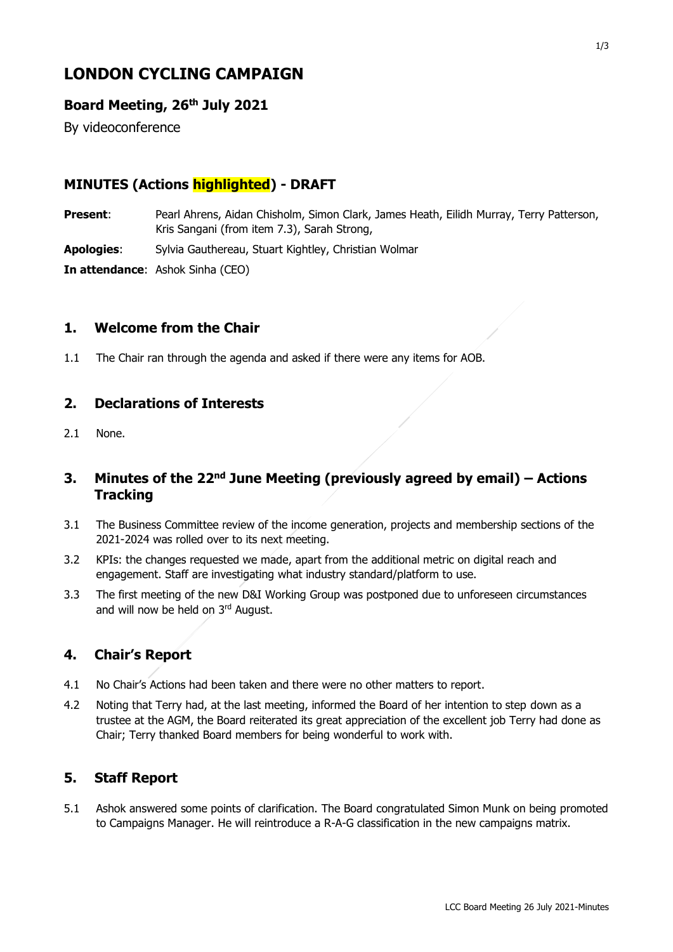# **LONDON CYCLING CAMPAIGN**

## **Board Meeting, 26th July 2021**

By videoconference

# **MINUTES (Actions highlighted) - DRAFT**

**Present**: Pearl Ahrens, Aidan Chisholm, Simon Clark, James Heath, Eilidh Murray, Terry Patterson, Kris Sangani (from item 7.3), Sarah Strong,

**Apologies**: Sylvia Gauthereau, Stuart Kightley, Christian Wolmar

**In attendance**: Ashok Sinha (CEO)

#### **1. Welcome from the Chair**

1.1 The Chair ran through the agenda and asked if there were any items for AOB.

#### **2. Declarations of Interests**

2.1 None.

## **3. Minutes of the 22nd June Meeting (previously agreed by email) – Actions Tracking**

- 3.1 The Business Committee review of the income generation, projects and membership sections of the 2021-2024 was rolled over to its next meeting.
- 3.2 KPIs: the changes requested we made, apart from the additional metric on digital reach and engagement. Staff are investigating what industry standard/platform to use.
- 3.3 The first meeting of the new D&I Working Group was postponed due to unforeseen circumstances and will now be held on 3rd August.

#### **4. Chair's Report**

- 4.1 No Chair's Actions had been taken and there were no other matters to report.
- 4.2 Noting that Terry had, at the last meeting, informed the Board of her intention to step down as a trustee at the AGM, the Board reiterated its great appreciation of the excellent job Terry had done as Chair; Terry thanked Board members for being wonderful to work with.

#### **5. Staff Report**

5.1 Ashok answered some points of clarification. The Board congratulated Simon Munk on being promoted to Campaigns Manager. He will reintroduce a R-A-G classification in the new campaigns matrix.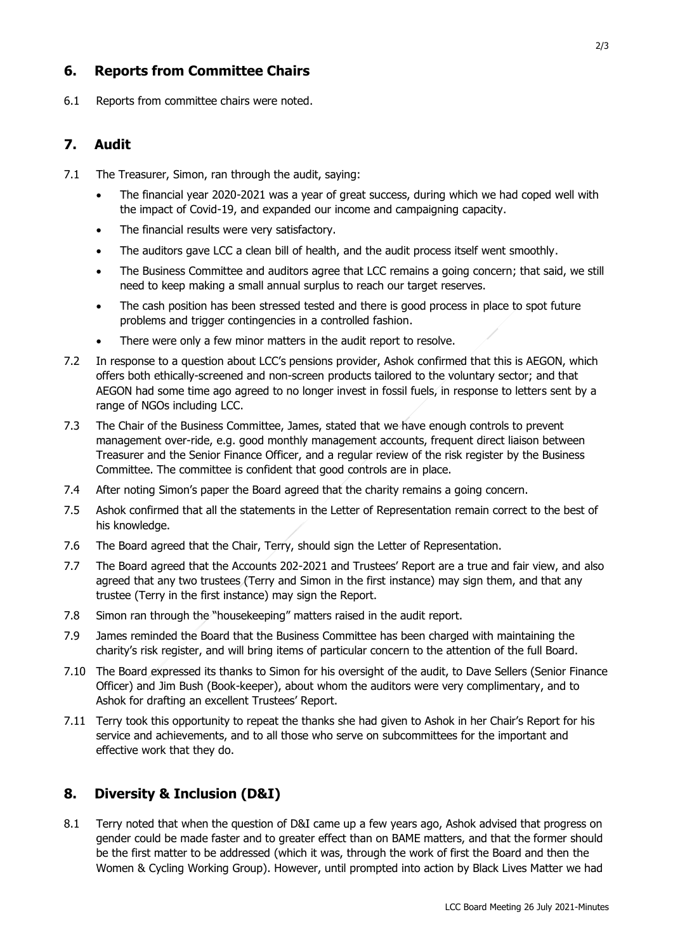# **6. Reports from Committee Chairs**

6.1 Reports from committee chairs were noted.

#### **7. Audit**

- 7.1 The Treasurer, Simon, ran through the audit, saying:
	- The financial year 2020-2021 was a year of great success, during which we had coped well with the impact of Covid-19, and expanded our income and campaigning capacity.
	- The financial results were very satisfactory.
	- The auditors gave LCC a clean bill of health, and the audit process itself went smoothly.
	- The Business Committee and auditors agree that LCC remains a going concern; that said, we still need to keep making a small annual surplus to reach our target reserves.
	- The cash position has been stressed tested and there is good process in place to spot future problems and trigger contingencies in a controlled fashion.
	- There were only a few minor matters in the audit report to resolve.
- 7.2 In response to a question about LCC's pensions provider, Ashok confirmed that this is AEGON, which offers both ethically-screened and non-screen products tailored to the voluntary sector; and that AEGON had some time ago agreed to no longer invest in fossil fuels, in response to letters sent by a range of NGOs including LCC.
- 7.3 The Chair of the Business Committee, James, stated that we have enough controls to prevent management over-ride, e.g. good monthly management accounts, frequent direct liaison between Treasurer and the Senior Finance Officer, and a regular review of the risk register by the Business Committee. The committee is confident that good controls are in place.
- 7.4 After noting Simon's paper the Board agreed that the charity remains a going concern.
- 7.5 Ashok confirmed that all the statements in the Letter of Representation remain correct to the best of his knowledge.
- 7.6 The Board agreed that the Chair, Terry, should sign the Letter of Representation.
- 7.7 The Board agreed that the Accounts 202-2021 and Trustees' Report are a true and fair view, and also agreed that any two trustees (Terry and Simon in the first instance) may sign them, and that any trustee (Terry in the first instance) may sign the Report.
- 7.8 Simon ran through the "housekeeping" matters raised in the audit report.
- 7.9 James reminded the Board that the Business Committee has been charged with maintaining the charity's risk register, and will bring items of particular concern to the attention of the full Board.
- 7.10 The Board expressed its thanks to Simon for his oversight of the audit, to Dave Sellers (Senior Finance Officer) and Jim Bush (Book-keeper), about whom the auditors were very complimentary, and to Ashok for drafting an excellent Trustees' Report.
- 7.11 Terry took this opportunity to repeat the thanks she had given to Ashok in her Chair's Report for his service and achievements, and to all those who serve on subcommittees for the important and effective work that they do.

#### **8. Diversity & Inclusion (D&I)**

8.1 Terry noted that when the question of D&I came up a few years ago, Ashok advised that progress on gender could be made faster and to greater effect than on BAME matters, and that the former should be the first matter to be addressed (which it was, through the work of first the Board and then the Women & Cycling Working Group). However, until prompted into action by Black Lives Matter we had